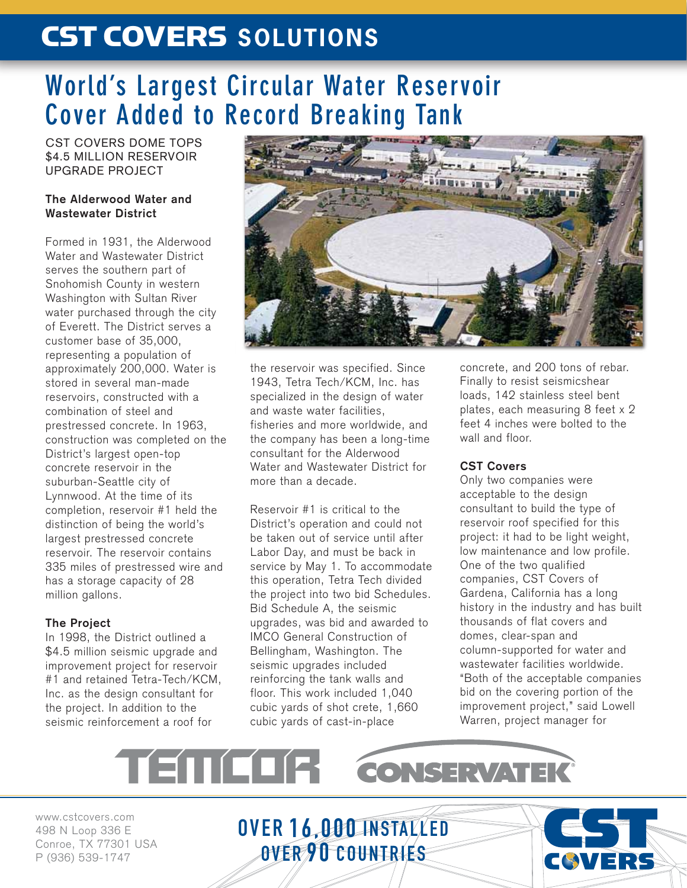# CST COVERS **SOLUTIONS**

## **World's Largest Circular Water Reservoir Cover Added to Record Breaking Tank**

CST COVERS DOME TOPS \$4.5 MILLION RESERVOIR UPGRADE PROJECT

#### **The Alderwood Water and Wastewater District**

Formed in 1931, the Alderwood Water and Wastewater District serves the southern part of Snohomish County in western Washington with Sultan River water purchased through the city of Everett. The District serves a customer base of 35,000, representing a population of approximately 200,000. Water is stored in several man-made reservoirs, constructed with a combination of steel and prestressed concrete. In 1963, construction was completed on the District's largest open-top concrete reservoir in the suburban-Seattle city of Lynnwood. At the time of its completion, reservoir #1 held the distinction of being the world's largest prestressed concrete reservoir. The reservoir contains 335 miles of prestressed wire and has a storage capacity of 28 million gallons.

### **The Project**

In 1998, the District outlined a \$4.5 million seismic upgrade and improvement project for reservoir #1 and retained Tetra-Tech/KCM, Inc. as the design consultant for the project. In addition to the seismic reinforcement a roof for



the reservoir was specified. Since 1943, Tetra Tech/KCM, Inc. has specialized in the design of water and waste water facilities, fisheries and more worldwide, and the company has been a long-time consultant for the Alderwood Water and Wastewater District for more than a decade.

Reservoir #1 is critical to the District's operation and could not be taken out of service until after Labor Day, and must be back in service by May 1. To accommodate this operation, Tetra Tech divided the project into two bid Schedules. Bid Schedule A, the seismic upgrades, was bid and awarded to IMCO General Construction of Bellingham, Washington. The seismic upgrades included reinforcing the tank walls and floor. This work included 1,040 cubic yards of shot crete, 1,660 cubic yards of cast-in-place

concrete, and 200 tons of rebar. Finally to resist seismicshear loads, 142 stainless steel bent plates, each measuring 8 feet x 2 feet 4 inches were bolted to the wall and floor.

### **CST Covers**

Only two companies were acceptable to the design consultant to build the type of reservoir roof specified for this project: it had to be light weight, low maintenance and low profile. One of the two qualified companies, CST Covers of Gardena, California has a long history in the industry and has built thousands of flat covers and domes, clear-span and column-supported for water and wastewater facilities worldwide. "Both of the acceptable companies bid on the covering portion of the improvement project," said Lowell Warren, project manager for

COVE

**PL-**

### TEMEL **CONSERVATEK**

OVER 16,000 INSTALLED

OVER 90 COUNTRIES

www.cstcovers.com 498 N Loop 336 E Conroe, TX 77301 USA P (936) 539-1747